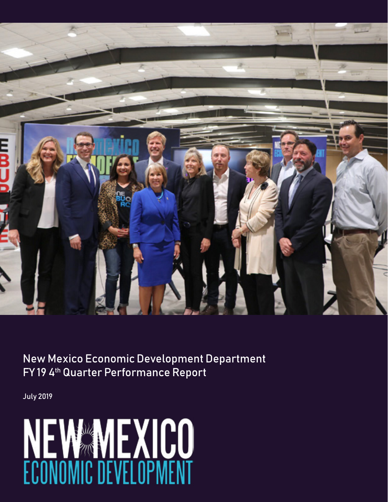

New Mexico Economic Development Department FY 194<sup>th</sup> Quarter Performance Report

July 2019

# NEW MEXICO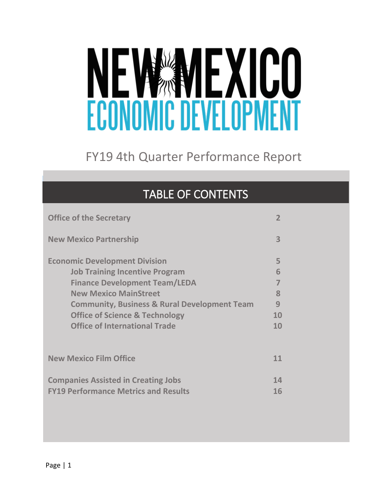# NEW MEXICO

# FY19 4th Quarter Performance Report

| <b>TABLE OF CONTENTS</b>                                                                                                                                                                                                                                                                              |                                   |  |
|-------------------------------------------------------------------------------------------------------------------------------------------------------------------------------------------------------------------------------------------------------------------------------------------------------|-----------------------------------|--|
| <b>Office of the Secretary</b>                                                                                                                                                                                                                                                                        | $\overline{2}$                    |  |
| <b>New Mexico Partnership</b>                                                                                                                                                                                                                                                                         | 3                                 |  |
| <b>Economic Development Division</b><br><b>Job Training Incentive Program</b><br><b>Finance Development Team/LEDA</b><br><b>New Mexico MainStreet</b><br><b>Community, Business &amp; Rural Development Team</b><br><b>Office of Science &amp; Technology</b><br><b>Office of International Trade</b> | 5<br>6<br>7<br>8<br>9<br>10<br>10 |  |
| <b>New Mexico Film Office</b>                                                                                                                                                                                                                                                                         | 11                                |  |
| <b>Companies Assisted in Creating Jobs</b><br><b>FY19 Performance Metrics and Results</b>                                                                                                                                                                                                             | 14<br>16                          |  |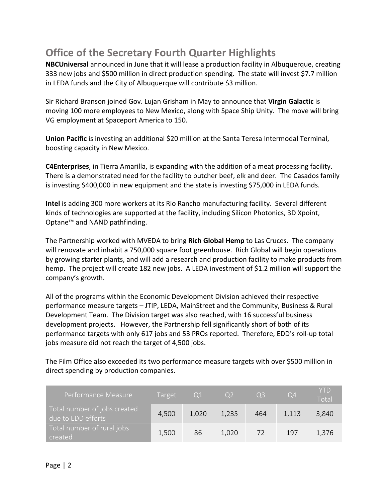# **Office of the Secretary Fourth Quarter Highlights**

**NBCUniversal** announced in June that it will lease a production facility in Albuquerque, creating 333 new jobs and \$500 million in direct production spending. The state will invest \$7.7 million in LEDA funds and the City of Albuquerque will contribute \$3 million.

Sir Richard Branson joined Gov. Lujan Grisham in May to announce that **Virgin Galactic** is moving 100 more employees to New Mexico, along with Space Ship Unity. The move will bring VG employment at Spaceport America to 150.

**Union Pacific** is investing an additional \$20 million at the Santa Teresa Intermodal Terminal, boosting capacity in New Mexico.

**C4Enterprises**, in Tierra Amarilla, is expanding with the addition of a meat processing facility. There is a demonstrated need for the facility to butcher beef, elk and deer. The Casados family is investing \$400,000 in new equipment and the state is investing \$75,000 in LEDA funds.

**Intel** is adding 300 more workers at its Rio Rancho manufacturing facility. Several different kinds of technologies are supported at the facility, including Silicon Photonics, 3D Xpoint, Optane™ and NAND pathfinding.

The Partnership worked with MVEDA to bring **Rich Global Hemp** to Las Cruces. The company will renovate and inhabit a 750,000 square foot greenhouse. Rich Global will begin operations by growing starter plants, and will add a research and production facility to make products from hemp. The project will create 182 new jobs. A LEDA investment of \$1.2 million will support the company's growth.

All of the programs within the Economic Development Division achieved their respective performance measure targets – JTIP, LEDA, MainStreet and the Community, Business & Rural Development Team. The Division target was also reached, with 16 successful business development projects. However, the Partnership fell significantly short of both of its performance targets with only 617 jobs and 53 PROs reported. Therefore, EDD's roll-up total jobs measure did not reach the target of 4,500 jobs.

The Film Office also exceeded its two performance measure targets with over \$500 million in direct spending by production companies.

| Performance Measure                                | <b>Target</b> | -01   | O <sub>2</sub> | O <sub>3</sub> | O <sub>4</sub> | <b>YTD</b><br>Total |
|----------------------------------------------------|---------------|-------|----------------|----------------|----------------|---------------------|
| Total number of jobs created<br>due to EDD efforts | 4,500         | 1,020 | 1,235          | 464            | 1,113          | 3,840               |
| Total number of rural jobs<br>created              | 1,500         | 86    | 1,020          | 72             | 197            | 1,376               |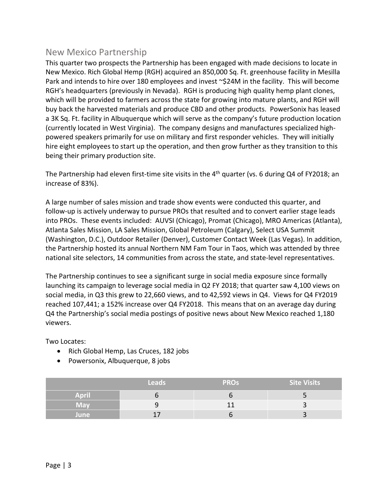#### New Mexico Partnership

This quarter two prospects the Partnership has been engaged with made decisions to locate in New Mexico. Rich Global Hemp (RGH) acquired an 850,000 Sq. Ft. greenhouse facility in Mesilla Park and intends to hire over 180 employees and invest ~\$24M in the facility. This will become RGH's headquarters (previously in Nevada). RGH is producing high quality hemp plant clones, which will be provided to farmers across the state for growing into mature plants, and RGH will buy back the harvested materials and produce CBD and other products. PowerSonix has leased a 3K Sq. Ft. facility in Albuquerque which will serve as the company's future production location (currently located in West Virginia). The company designs and manufactures specialized highpowered speakers primarily for use on military and first responder vehicles. They will initially hire eight employees to start up the operation, and then grow further as they transition to this being their primary production site.

The Partnership had eleven first-time site visits in the 4<sup>th</sup> quarter (vs. 6 during Q4 of FY2018; an increase of 83%).

A large number of sales mission and trade show events were conducted this quarter, and follow-up is actively underway to pursue PROs that resulted and to convert earlier stage leads into PROs. These events included: AUVSI (Chicago), Promat (Chicago), MRO Americas (Atlanta), Atlanta Sales Mission, LA Sales Mission, Global Petroleum (Calgary), Select USA Summit (Washington, D.C.), Outdoor Retailer (Denver), Customer Contact Week (Las Vegas). In addition, the Partnership hosted its annual Northern NM Fam Tour in Taos, which was attended by three national site selectors, 14 communities from across the state, and state-level representatives.

The Partnership continues to see a significant surge in social media exposure since formally launching its campaign to leverage social media in Q2 FY 2018; that quarter saw 4,100 views on social media, in Q3 this grew to 22,660 views, and to 42,592 views in Q4. Views for Q4 FY2019 reached 107,441; a 152% increase over Q4 FY2018. This means that on an average day during Q4 the Partnership's social media postings of positive news about New Mexico reached 1,180 viewers.

Two Locates:

- Rich Global Hemp, Las Cruces, 182 jobs
- Powersonix, Albuquerque, 8 jobs

|              | <b>Leads</b> | <b>PROS</b> | <b>Site Visits</b> |
|--------------|--------------|-------------|--------------------|
| <b>April</b> |              |             |                    |
| <b>May</b>   |              |             |                    |
| June         |              |             |                    |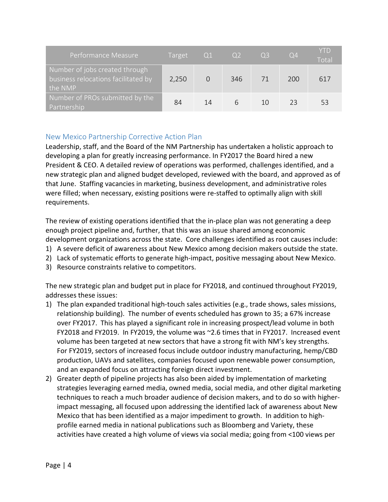| Performance Measure                                                                             | Target | $\sqrt{01}$ | O <sub>2</sub> | $\sqrt{Q3}$ | $\overline{Q4}$ | <b>YTD</b><br>Total |
|-------------------------------------------------------------------------------------------------|--------|-------------|----------------|-------------|-----------------|---------------------|
| Number of jobs created through<br>business relocations facilitated by<br>I the NMP $^{\dagger}$ | 2,250  |             | 346            | 71          | 200             | 617                 |
| Number of PROs submitted by the<br>Partnership                                                  | 84     | 14          | 6              | 10          | つろ              | 53                  |

#### New Mexico Partnership Corrective Action Plan

Leadership, staff, and the Board of the NM Partnership has undertaken a holistic approach to developing a plan for greatly increasing performance. In FY2017 the Board hired a new President & CEO. A detailed review of operations was performed, challenges identified, and a new strategic plan and aligned budget developed, reviewed with the board, and approved as of that June. Staffing vacancies in marketing, business development, and administrative roles were filled; when necessary, existing positions were re-staffed to optimally align with skill requirements.

The review of existing operations identified that the in-place plan was not generating a deep enough project pipeline and, further, that this was an issue shared among economic development organizations across the state. Core challenges identified as root causes include:

- 1) A severe deficit of awareness about New Mexico among decision makers outside the state.
- 2) Lack of systematic efforts to generate high-impact, positive messaging about New Mexico.
- 3) Resource constraints relative to competitors.

The new strategic plan and budget put in place for FY2018, and continued throughout FY2019, addresses these issues:

- 1) The plan expanded traditional high-touch sales activities (e.g., trade shows, sales missions, relationship building). The number of events scheduled has grown to 35; a 67% increase over FY2017. This has played a significant role in increasing prospect/lead volume in both FY2018 and FY2019. In FY2019, the volume was ~2.6 times that in FY2017. Increased event volume has been targeted at new sectors that have a strong fit with NM's key strengths. For FY2019, sectors of increased focus include outdoor industry manufacturing, hemp/CBD production, UAVs and satellites, companies focused upon renewable power consumption, and an expanded focus on attracting foreign direct investment.
- 2) Greater depth of pipeline projects has also been aided by implementation of marketing strategies leveraging earned media, owned media, social media, and other digital marketing techniques to reach a much broader audience of decision makers, and to do so with higherimpact messaging, all focused upon addressing the identified lack of awareness about New Mexico that has been identified as a major impediment to growth. In addition to highprofile earned media in national publications such as Bloomberg and Variety, these activities have created a high volume of views via social media; going from <100 views per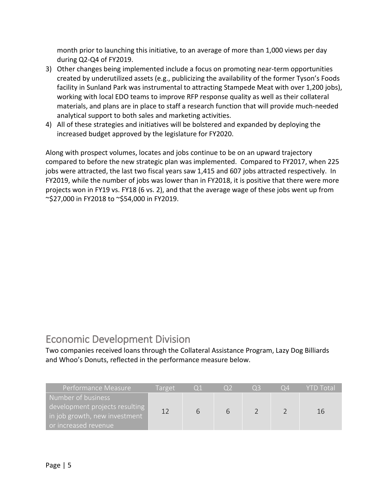month prior to launching this initiative, to an average of more than 1,000 views per day during Q2-Q4 of FY2019.

- 3) Other changes being implemented include a focus on promoting near-term opportunities created by underutilized assets (e.g., publicizing the availability of the former Tyson's Foods facility in Sunland Park was instrumental to attracting Stampede Meat with over 1,200 jobs), working with local EDO teams to improve RFP response quality as well as their collateral materials, and plans are in place to staff a research function that will provide much-needed analytical support to both sales and marketing activities.
- 4) All of these strategies and initiatives will be bolstered and expanded by deploying the increased budget approved by the legislature for FY2020.

Along with prospect volumes, locates and jobs continue to be on an upward trajectory compared to before the new strategic plan was implemented. Compared to FY2017, when 225 jobs were attracted, the last two fiscal years saw 1,415 and 607 jobs attracted respectively. In FY2019, while the number of jobs was lower than in FY2018, it is positive that there were more projects won in FY19 vs. FY18 (6 vs. 2), and that the average wage of these jobs went up from ~\$27,000 in FY2018 to ~\$54,000 in FY2019.

# Economic Development Division

Two companies received loans through the Collateral Assistance Program, Lazy Dog Billiards and Whoo's Donuts, reflected in the performance measure below.

| Performance Measure                                                                                             | Target |   | <b>TOX</b> | O <sub>3</sub> | Ω4 | <b>YTD Total</b> |
|-----------------------------------------------------------------------------------------------------------------|--------|---|------------|----------------|----|------------------|
| Number of business<br>development projects resulting  <br>in job growth, new investment<br>or increased revenue | 12     | b |            |                |    | 16               |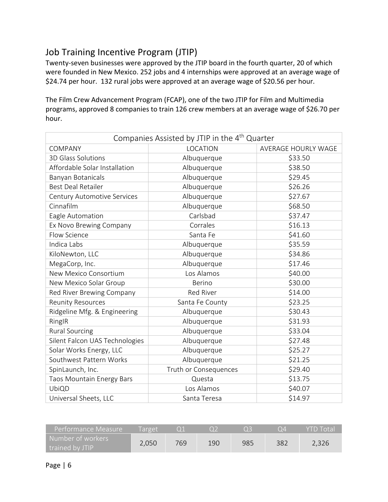## Job Training Incentive Program (JTIP)

Twenty-seven businesses were approved by the JTIP board in the fourth quarter, 20 of which were founded in New Mexico. 252 jobs and 4 internships were approved at an average wage of \$24.74 per hour. 132 rural jobs were approved at an average wage of \$20.56 per hour.

The Film Crew Advancement Program (FCAP), one of the two JTIP for Film and Multimedia programs, approved 8 companies to train 126 crew members at an average wage of \$26.70 per hour.

| Companies Assisted by JTIP in the 4 <sup>th</sup> Quarter |                       |                     |  |  |  |  |  |  |
|-----------------------------------------------------------|-----------------------|---------------------|--|--|--|--|--|--|
| <b>COMPANY</b>                                            | LOCATION              | AVERAGE HOURLY WAGE |  |  |  |  |  |  |
| 3D Glass Solutions                                        | Albuquerque           | \$33.50             |  |  |  |  |  |  |
| Affordable Solar Installation                             | Albuquerque           | \$38.50             |  |  |  |  |  |  |
| Banyan Botanicals                                         | Albuquerque           | \$29.45             |  |  |  |  |  |  |
| <b>Best Deal Retailer</b>                                 | Albuquerque           | \$26.26             |  |  |  |  |  |  |
| Century Automotive Services                               | Albuquerque           | \$27.67             |  |  |  |  |  |  |
| Cinnafilm                                                 | Albuquerque           | \$68.50             |  |  |  |  |  |  |
| Eagle Automation                                          | Carlsbad              | \$37.47             |  |  |  |  |  |  |
| Ex Novo Brewing Company                                   | Corrales              | \$16.13             |  |  |  |  |  |  |
| Flow Science                                              | Santa Fe              | \$41.60             |  |  |  |  |  |  |
| Indica Labs                                               | Albuquerque           | \$35.59             |  |  |  |  |  |  |
| KiloNewton, LLC                                           | Albuquerque           | \$34.86             |  |  |  |  |  |  |
| MegaCorp, Inc.                                            | Albuquerque           | \$17.46             |  |  |  |  |  |  |
| New Mexico Consortium                                     | Los Alamos            | \$40.00             |  |  |  |  |  |  |
| New Mexico Solar Group                                    | <b>Berino</b>         | \$30.00             |  |  |  |  |  |  |
| Red River Brewing Company                                 | <b>Red River</b>      | \$14.00             |  |  |  |  |  |  |
| <b>Reunity Resources</b>                                  | Santa Fe County       | \$23.25             |  |  |  |  |  |  |
| Ridgeline Mfg. & Engineering                              | Albuquerque           | \$30.43             |  |  |  |  |  |  |
| RingIR                                                    | Albuquerque           | \$31.93             |  |  |  |  |  |  |
| <b>Rural Sourcing</b>                                     | Albuquerque           | \$33.04             |  |  |  |  |  |  |
| Silent Falcon UAS Technologies                            | Albuquerque           | \$27.48             |  |  |  |  |  |  |
| Solar Works Energy, LLC                                   | Albuquerque           | \$25.27             |  |  |  |  |  |  |
| Southwest Pattern Works                                   | Albuquerque           | \$21.25             |  |  |  |  |  |  |
| SpinLaunch, Inc.                                          | Truth or Consequences | \$29.40             |  |  |  |  |  |  |
| Taos Mountain Energy Bars                                 | Questa                | \$13.75             |  |  |  |  |  |  |
| UbiQD                                                     | Los Alamos            | \$40.07             |  |  |  |  |  |  |
| Universal Sheets, LLC                                     | Santa Teresa          | \$14.97             |  |  |  |  |  |  |

| Performance Measure                    | l arget |     |     |     | Ω4  | <b>YTD Total</b> |
|----------------------------------------|---------|-----|-----|-----|-----|------------------|
| Number of workers  <br>trained by JTIP | 2,050   | 769 | 190 | 985 | 382 | 2,326            |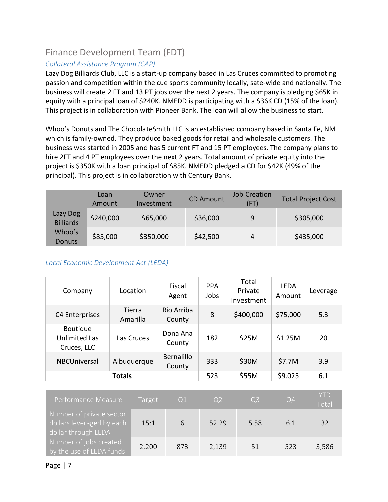### Finance Development Team (FDT)

#### *Collateral Assistance Program (CAP)*

Lazy Dog Billiards Club, LLC is a start-up company based in Las Cruces committed to promoting passion and competition within the cue sports community locally, sate-wide and nationally. The business will create 2 FT and 13 PT jobs over the next 2 years. The company is pledging \$65K in equity with a principal loan of \$240K. NMEDD is participating with a \$36K CD (15% of the loan). This project is in collaboration with Pioneer Bank. The loan will allow the business to start.

Whoo's Donuts and The ChocolateSmith LLC is an established company based in Santa Fe, NM which is family-owned. They produce baked goods for retail and wholesale customers. The business was started in 2005 and has 5 current FT and 15 PT employees. The company plans to hire 2FT and 4 PT employees over the next 2 years. Total amount of private equity into the project is \$350K with a loan principal of \$85K. NMEDD pledged a CD for \$42K (49% of the principal). This project is in collaboration with Century Bank.

|                              | Loan<br>Amount | Owner<br>Investment | <b>CD Amount</b> | <b>Job Creation</b><br>(FT) | <b>Total Project Cost</b> |
|------------------------------|----------------|---------------------|------------------|-----------------------------|---------------------------|
| Lazy Dog<br><b>Billiards</b> | \$240,000      | \$65,000            | \$36,000         | 9                           | \$305,000                 |
| Whoo's<br><b>Donuts</b>      | \$85,000       | \$350,000           | \$42,500         | 4                           | \$435,000                 |

#### *Local Economic Development Act (LEDA)*

| Company                                                | Location           | Fiscal<br>Agent             | <b>PPA</b><br>Jobs | Total<br>Private<br>Investment | <b>LEDA</b><br>Amount | Leverage |
|--------------------------------------------------------|--------------------|-----------------------------|--------------------|--------------------------------|-----------------------|----------|
| C4 Enterprises                                         | Tierra<br>Amarilla | Rio Arriba<br>County        | 8                  | \$400,000                      | \$75,000              | 5.3      |
| <b>Boutique</b><br><b>Unlimited Las</b><br>Cruces, LLC | Las Cruces         | Dona Ana<br>County          | 182                | \$25M                          | \$1.25M               | 20       |
| NBCUniversal                                           | Albuquerque        | <b>Bernalillo</b><br>County | 333                | \$30M                          | \$7.7M                | 3.9      |
| <b>Totals</b>                                          |                    |                             |                    | \$55M                          | \$9.025               | 6.1      |

| Performance Measure                                                          | Target | Q1  | Q2    | Q <sub>3</sub> | Q4  | <b>YTD</b><br>Total |
|------------------------------------------------------------------------------|--------|-----|-------|----------------|-----|---------------------|
| Number of private sector<br>dollars leveraged by each<br>dollar through LEDA | 15:1   | 6   | 52.29 | 5.58           | 6.1 | 32                  |
| Number of jobs created<br>by the use of LEDA funds                           | 2,200  | 873 | 2,139 | .51            | 523 | 3,586               |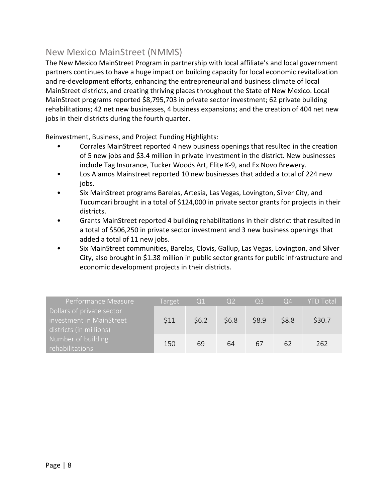#### New Mexico MainStreet (NMMS)

The New Mexico MainStreet Program in partnership with local affiliate's and local government partners continues to have a huge impact on building capacity for local economic revitalization and re-development efforts, enhancing the entrepreneurial and business climate of local MainStreet districts, and creating thriving places throughout the State of New Mexico. Local MainStreet programs reported \$8,795,703 in private sector investment; 62 private building rehabilitations; 42 net new businesses, 4 business expansions; and the creation of 404 net new jobs in their districts during the fourth quarter.

Reinvestment, Business, and Project Funding Highlights:

- Corrales MainStreet reported 4 new business openings that resulted in the creation of 5 new jobs and \$3.4 million in private investment in the district. New businesses include Tag Insurance, Tucker Woods Art, Elite K-9, and Ex Novo Brewery.
- Los Alamos Mainstreet reported 10 new businesses that added a total of 224 new jobs.
- Six MainStreet programs Barelas, Artesia, Las Vegas, Lovington, Silver City, and Tucumcari brought in a total of \$124,000 in private sector grants for projects in their districts.
- Grants MainStreet reported 4 building rehabilitations in their district that resulted in a total of \$506,250 in private sector investment and 3 new business openings that added a total of 11 new jobs.
- Six MainStreet communities, Barelas, Clovis, Gallup, Las Vegas, Lovington, and Silver City, also brought in \$1.38 million in public sector grants for public infrastructure and economic development projects in their districts.

| Performance Measure                                                              | Target | $\Omega$ | O2    | O <sub>3</sub> | $\Omega$ | <b>YTD Total</b> |
|----------------------------------------------------------------------------------|--------|----------|-------|----------------|----------|------------------|
| Dollars of private sector<br>investment in MainStreet<br>districts (in millions) | \$11   | \$6.2    | \$6.8 | \$8.9          | \$8.8    | \$30.7           |
| Number of building<br>rehabilitations                                            | 150    | 69       | 64    | 6/             | 62       | 262              |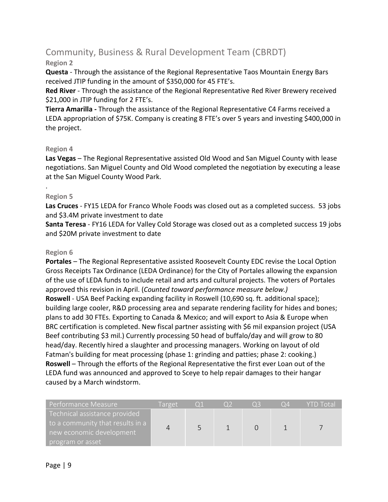# Community, Business & Rural Development Team (CBRDT)

#### **Region 2**

**Questa** - Through the assistance of the Regional Representative Taos Mountain Energy Bars received JTIP funding in the amount of \$350,000 for 45 FTE's.

**Red River** - Through the assistance of the Regional Representative Red River Brewery received \$21,000 in JTIP funding for 2 FTE's.

**Tierra Amarilla -** Through the assistance of the Regional Representative C4 Farms received a LEDA appropriation of \$75K. Company is creating 8 FTE's over 5 years and investing \$400,000 in the project.

#### **Region 4**

**Las Vegas** – The Regional Representative assisted Old Wood and San Miguel County with lease negotiations. San Miguel County and Old Wood completed the negotiation by executing a lease at the San Miguel County Wood Park.

#### **Region 5**

.

**Las Cruces** - FY15 LEDA for Franco Whole Foods was closed out as a completed success. 53 jobs and \$3.4M private investment to date

**Santa Teresa** - FY16 LEDA for Valley Cold Storage was closed out as a completed success 19 jobs and \$20M private investment to date

#### **Region 6**

**Portales** – The Regional Representative assisted Roosevelt County EDC revise the Local Option Gross Receipts Tax Ordinance (LEDA Ordinance) for the City of Portales allowing the expansion of the use of LEDA funds to include retail and arts and cultural projects. The voters of Portales approved this revision in April. (*Counted toward performance measure below.)* **Roswell** - USA Beef Packing expanding facility in Roswell (10,690 sq. ft. additional space); building large cooler, R&D processing area and separate rendering facility for hides and bones; plans to add 30 FTEs. Exporting to Canada & Mexico; and will export to Asia & Europe when BRC certification is completed. New fiscal partner assisting with \$6 mil expansion project (USA Beef contributing \$3 mil.) Currently processing 50 head of buffalo/day and will grow to 80 head/day. Recently hired a slaughter and processing managers. Working on layout of old Fatman's building for meat processing (phase 1: grinding and patties; phase 2: cooking.) **Roswell** – Through the efforts of the Regional Representative the first ever Loan out of the LEDA fund was announced and approved to Sceye to help repair damages to their hangar caused by a March windstorm.

| Performance Measure                                               | Target | O <sub>1</sub> | O3 | ( )4 | <b>YTD Total</b> |
|-------------------------------------------------------------------|--------|----------------|----|------|------------------|
| Technical assistance provided<br>to a community that results in a |        |                |    |      |                  |
| new economic development                                          |        |                |    |      |                  |
| program or asset                                                  |        |                |    |      |                  |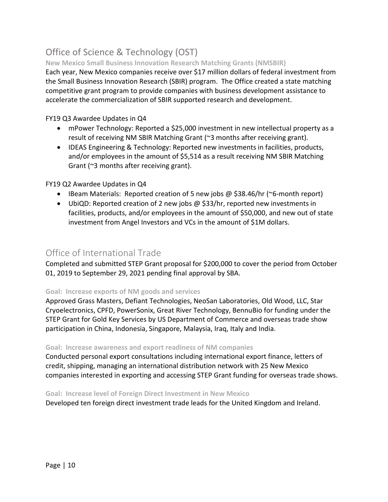# Office of Science & Technology (OST)

#### **New Mexico Small Business Innovation Research Matching Grants (NMSBIR)**

Each year, New Mexico companies receive over \$17 million dollars of federal investment from the Small Business Innovation Research (SBIR) program. The Office created a state matching competitive grant program to provide companies with business development assistance to accelerate the commercialization of SBIR supported research and development.

FY19 Q3 Awardee Updates in Q4

- mPower Technology: Reported a \$25,000 investment in new intellectual property as a result of receiving NM SBIR Matching Grant (~3 months after receiving grant).
- IDEAS Engineering & Technology: Reported new investments in facilities, products, and/or employees in the amount of \$5,514 as a result receiving NM SBIR Matching Grant (~3 months after receiving grant).

#### FY19 Q2 Awardee Updates in Q4

- IBeam Materials: Reported creation of 5 new jobs @ \$38.46/hr (~6-month report)
- UbiQD: Reported creation of 2 new jobs @ \$33/hr, reported new investments in facilities, products, and/or employees in the amount of \$50,000, and new out of state investment from Angel Investors and VCs in the amount of \$1M dollars.

#### Office of International Trade

Completed and submitted STEP Grant proposal for \$200,000 to cover the period from October 01, 2019 to September 29, 2021 pending final approval by SBA.

#### **Goal: Increase exports of NM goods and services**

Approved Grass Masters, Defiant Technologies, NeoSan Laboratories, Old Wood, LLC, Star Cryoelectronics, CPFD, PowerSonix, Great River Technology, BennuBio for funding under the STEP Grant for Gold Key Services by US Department of Commerce and overseas trade show participation in China, Indonesia, Singapore, Malaysia, Iraq, Italy and India.

#### **Goal: Increase awareness and export readiness of NM companies**

Conducted personal export consultations including international export finance, letters of credit, shipping, managing an international distribution network with 25 New Mexico companies interested in exporting and accessing STEP Grant funding for overseas trade shows.

#### **Goal: Increase level of Foreign Direct Investment in New Mexico**

Developed ten foreign direct investment trade leads for the United Kingdom and Ireland.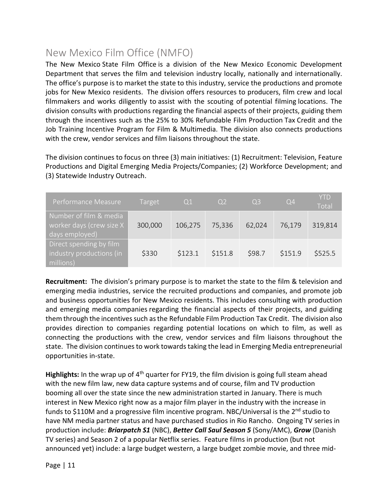# New Mexico Film Office (NMFO)

The New Mexico State Film Office is a division of the New Mexico Economic Development Department that serves the film and television industry locally, nationally and internationally. The office's purpose is to market the state to this industry, service the productions and promote jobs for New Mexico residents. The division offers resources to producers, film crew and local filmmakers and works diligently to assist with the scouting of potential filming locations. The division consults with productions regarding the financial aspects of their projects, guiding them through the incentives such as the 25% to 30% Refundable Film Production Tax Credit and the Job Training Incentive Program for Film & Multimedia. The division also connects productions with the crew, vendor services and film liaisons throughout the state.

The division continues to focus on three (3) main initiatives: (1) Recruitment: Television, Feature Productions and Digital Emerging Media Projects/Companies; (2) Workforce Development; and (3) Statewide Industry Outreach.

| Performance Measure                                                  | Target  | Q <sub>1</sub> | O <sub>2</sub> | Q <sub>3</sub> | $Q\overline{4}$ | <b>YTD</b><br>Total |
|----------------------------------------------------------------------|---------|----------------|----------------|----------------|-----------------|---------------------|
| Number of film & media<br>worker days (crew size X<br>days employed) | 300,000 | 106,275        | 75,336         | 62,024         | 76,179          | 319,814             |
| Direct spending by film<br>industry productions (in<br>millions)     | \$330   | \$123.1        | \$151.8        | \$98.7         | \$151.9         | \$525.5             |

**Recruitment:** The division's primary purpose is to market the state to the film & television and emerging media industries, service the recruited productions and companies, and promote job and business opportunities for New Mexico residents. This includes consulting with production and emerging media companies regarding the financial aspects of their projects, and guiding them through the incentives such as the Refundable Film Production Tax Credit. The division also provides direction to companies regarding potential locations on which to film, as well as connecting the productions with the crew, vendor services and film liaisons throughout the state. The division continues to work towards taking the lead in Emerging Media entrepreneurial opportunities in-state.

**Highlights:** In the wrap up of 4<sup>th</sup> quarter for FY19, the film division is going full steam ahead with the new film law, new data capture systems and of course, film and TV production booming all over the state since the new administration started in January. There is much interest in New Mexico right now as a major film player in the industry with the increase in funds to \$110M and a progressive film incentive program. NBC/Universal is the  $2^{nd}$  studio to have NM media partner status and have purchased studios in Rio Rancho. Ongoing TV series in production include: *Briarpatch S1* (NBC), *Better Call Saul Season 5* (Sony/AMC), *Grow* (Danish TV series) and Season 2 of a popular Netflix series. Feature films in production (but not announced yet) include: a large budget western, a large budget zombie movie, and three mid-

Page | 11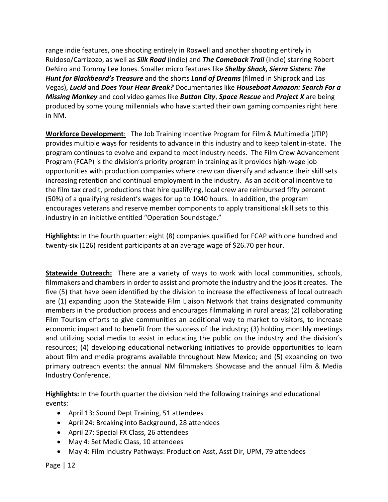range indie features, one shooting entirely in Roswell and another shooting entirely in Ruidoso/Carrizozo, as well as *Silk Road* (indie) and *The Comeback Trail* (indie) starring Robert DeNiro and Tommy Lee Jones. Smaller micro features like *Shelby Shack, Sierra Sisters: The Hunt for Blackbeard's Treasure* and the shorts *Land of Dreams* (filmed in Shiprock and Las Vegas), *Lucid* and *Does Your Hear Break?* Documentaries like *Houseboat Amazon: Search For a Missing Monkey* and cool video games like *Button City*, *Space Rescue* and *Project X* are being produced by some young millennials who have started their own gaming companies right here in NM.

**Workforce Development**: The Job Training Incentive Program for Film & Multimedia (JTIP) provides multiple ways for residents to advance in this industry and to keep talent in-state. The program continues to evolve and expand to meet industry needs. The Film Crew Advancement Program (FCAP) is the division's priority program in training as it provides high-wage job opportunities with production companies where crew can diversify and advance their skill sets increasing retention and continual employment in the industry. As an additional incentive to the film tax credit, productions that hire qualifying, local crew are reimbursed fifty percent (50%) of a qualifying resident's wages for up to 1040 hours. In addition, the program encourages veterans and reserve member components to apply transitional skill sets to this industry in an initiative entitled "Operation Soundstage."

**Highlights:** In the fourth quarter: eight (8) companies qualified for FCAP with one hundred and twenty-six (126) resident participants at an average wage of \$26.70 per hour.

**Statewide Outreach:** There are a variety of ways to work with local communities, schools, filmmakers and chambers in order to assist and promote the industry and the jobs it creates. The five (5) that have been identified by the division to increase the effectiveness of local outreach are (1) expanding upon the Statewide Film Liaison Network that trains designated community members in the production process and encourages filmmaking in rural areas; (2) collaborating Film Tourism efforts to give communities an additional way to market to visitors, to increase economic impact and to benefit from the success of the industry; (3) holding monthly meetings and utilizing social media to assist in educating the public on the industry and the division's resources; (4) developing educational networking initiatives to provide opportunities to learn about film and media programs available throughout New Mexico; and (5) expanding on two primary outreach events: the annual NM filmmakers Showcase and the annual Film & Media Industry Conference.

**Highlights:** In the fourth quarter the division held the following trainings and educational events:

- April 13: Sound Dept Training, 51 attendees
- April 24: Breaking into Background, 28 attendees
- April 27: Special FX Class, 26 attendees
- May 4: Set Medic Class, 10 attendees
- May 4: Film Industry Pathways: Production Asst, Asst Dir, UPM, 79 attendees